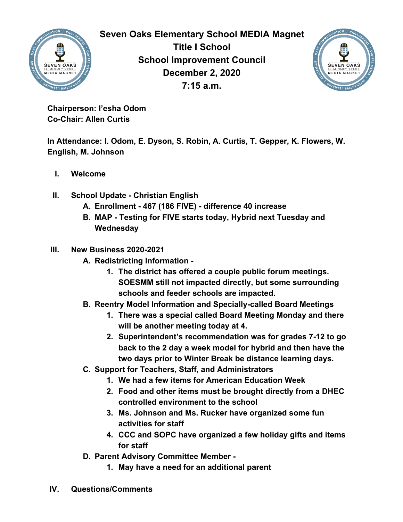

**Seven Oaks Elementary School MEDIA Magnet Title I School School Improvement Council December 2, 2020 7:15 a.m.**



**Chairperson: I'esha Odom Co-Chair: Allen Curtis**

**In Attendance: I. Odom, E. Dyson, S. Robin, A. Curtis, T. Gepper, K. Flowers, W. English, M. Johnson**

- **I. Welcome**
- **II. School Update Christian English**
	- **A. Enrollment 467 (186 FIVE) difference 40 increase**
	- **B. MAP Testing for FIVE starts today, Hybrid next Tuesday and Wednesday**

## **III. New Business 2020-2021**

- **A. Redistricting Information -**
	- **1. The district has offered a couple public forum meetings. SOESMM still not impacted directly, but some surrounding schools and feeder schools are impacted.**
- **B. Reentry Model Information and Specially-called Board Meetings**
	- **1. There was a special called Board Meeting Monday and there will be another meeting today at 4.**
	- **2. Superintendent's recommendation was for grades 7-12 to go back to the 2 day a week model for hybrid and then have the two days prior to Winter Break be distance learning days.**
- **C. Support for Teachers, Staff, and Administrators**
	- **1. We had a few items for American Education Week**
	- **2. Food and other items must be brought directly from a DHEC controlled environment to the school**
	- **3. Ms. Johnson and Ms. Rucker have organized some fun activities for staff**
	- **4. CCC and SOPC have organized a few holiday gifts and items for staff**
- **D. Parent Advisory Committee Member -**
	- **1. May have a need for an additional parent**